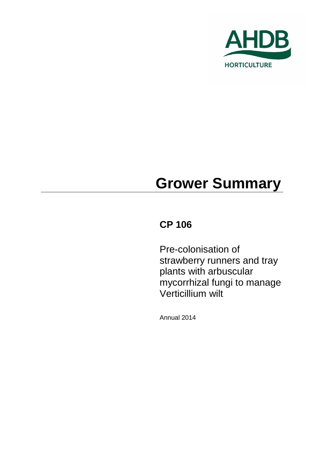

# **Grower Summary**

# **CP 106**

Pre-colonisation of strawberry runners and tray plants with arbuscular mycorrhizal fungi to manage Verticillium wilt

Annual 2014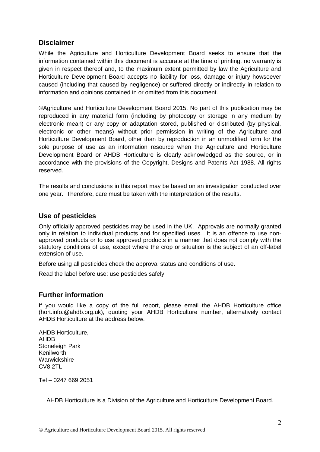# **Disclaimer**

While the Agriculture and Horticulture Development Board seeks to ensure that the information contained within this document is accurate at the time of printing, no warranty is given in respect thereof and, to the maximum extent permitted by law the Agriculture and Horticulture Development Board accepts no liability for loss, damage or injury howsoever caused (including that caused by negligence) or suffered directly or indirectly in relation to information and opinions contained in or omitted from this document.

©Agriculture and Horticulture Development Board 2015. No part of this publication may be reproduced in any material form (including by photocopy or storage in any medium by electronic mean) or any copy or adaptation stored, published or distributed (by physical, electronic or other means) without prior permission in writing of the Agriculture and Horticulture Development Board, other than by reproduction in an unmodified form for the sole purpose of use as an information resource when the Agriculture and Horticulture Development Board or AHDB Horticulture is clearly acknowledged as the source, or in accordance with the provisions of the Copyright, Designs and Patents Act 1988. All rights reserved.

The results and conclusions in this report may be based on an investigation conducted over one year. Therefore, care must be taken with the interpretation of the results.

### **Use of pesticides**

Only officially approved pesticides may be used in the UK. Approvals are normally granted only in relation to individual products and for specified uses. It is an offence to use nonapproved products or to use approved products in a manner that does not comply with the statutory conditions of use, except where the crop or situation is the subject of an off-label extension of use.

Before using all pesticides check the approval status and conditions of use.

Read the label before use: use pesticides safely.

## **Further information**

If you would like a copy of the full report, please email the AHDB Horticulture office (hort.info.@ahdb.org.uk), quoting your AHDB Horticulture number, alternatively contact AHDB Horticulture at the address below.

AHDB Horticulture, AHDB Stoneleigh Park Kenilworth **Warwickshire** CV8 2TL

Tel – 0247 669 2051

AHDB Horticulture is a Division of the Agriculture and Horticulture Development Board.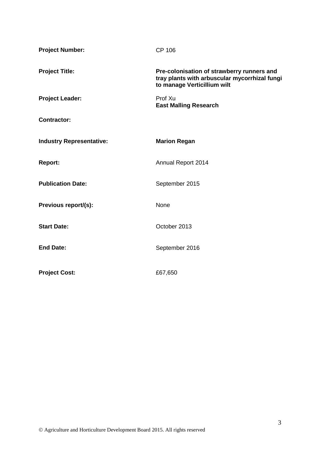| <b>Project Number:</b>          | <b>CP 106</b>                                                                                                              |
|---------------------------------|----------------------------------------------------------------------------------------------------------------------------|
| <b>Project Title:</b>           | Pre-colonisation of strawberry runners and<br>tray plants with arbuscular mycorrhizal fungi<br>to manage Verticillium wilt |
| <b>Project Leader:</b>          | Prof Xu<br><b>East Malling Research</b>                                                                                    |
| <b>Contractor:</b>              |                                                                                                                            |
| <b>Industry Representative:</b> | <b>Marion Regan</b>                                                                                                        |
| <b>Report:</b>                  | Annual Report 2014                                                                                                         |
| <b>Publication Date:</b>        | September 2015                                                                                                             |
| Previous report/(s):            | None                                                                                                                       |
| <b>Start Date:</b>              | October 2013                                                                                                               |
| <b>End Date:</b>                | September 2016                                                                                                             |
| <b>Project Cost:</b>            | £67,650                                                                                                                    |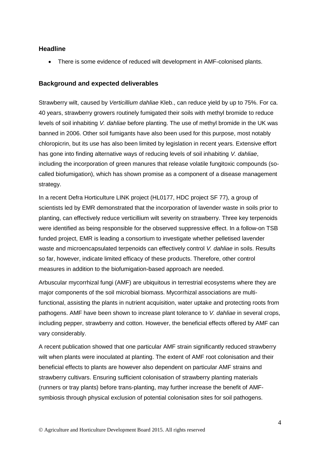#### **Headline**

There is some evidence of reduced wilt development in AMF-colonised plants.

#### **Background and expected deliverables**

Strawberry wilt, caused by *Verticillium dahliae* Kleb., can reduce yield by up to 75%. For ca. 40 years, strawberry growers routinely fumigated their soils with methyl bromide to reduce levels of soil inhabiting *V. dahliae* before planting. The use of methyl bromide in the UK was banned in 2006. Other soil fumigants have also been used for this purpose, most notably chloropicrin, but its use has also been limited by legislation in recent years. Extensive effort has gone into finding alternative ways of reducing levels of soil inhabiting *V. dahliae*, including the incorporation of green manures that release volatile fungitoxic compounds (socalled biofumigation), which has shown promise as a component of a disease management strategy.

In a recent Defra Horticulture LINK project (HL0177, HDC project SF 77), a group of scientists led by EMR demonstrated that the incorporation of lavender waste in soils prior to planting, can effectively reduce verticillium wilt severity on strawberry. Three key terpenoids were identified as being responsible for the observed suppressive effect. In a follow-on TSB funded project, EMR is leading a consortium to investigate whether pelletised lavender waste and microencapsulated terpenoids can effectively control *V. dahliae* in soils. Results so far, however, indicate limited efficacy of these products. Therefore, other control measures in addition to the biofumigation-based approach are needed.

Arbuscular mycorrhizal fungi (AMF) are ubiquitous in terrestrial ecosystems where they are major components of the soil microbial biomass. Mycorrhizal associations are multifunctional, assisting the plants in nutrient acquisition, water uptake and protecting roots from pathogens. AMF have been shown to increase plant tolerance to *V. dahliae* in several crops, including pepper, strawberry and cotton. However, the beneficial effects offered by AMF can vary considerably.

A recent publication showed that one particular AMF strain significantly reduced strawberry wilt when plants were inoculated at planting. The extent of AMF root colonisation and their beneficial effects to plants are however also dependent on particular AMF strains and strawberry cultivars. Ensuring sufficient colonisation of strawberry planting materials (runners or tray plants) before trans-planting, may further increase the benefit of AMFsymbiosis through physical exclusion of potential colonisation sites for soil pathogens.